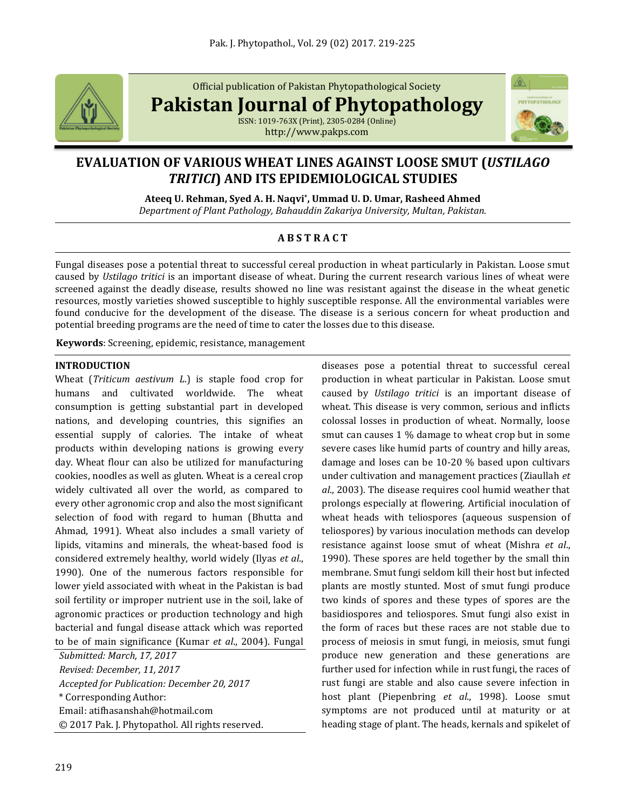

Official publication of Pakistan Phytopathological Society

**Pakistan Journal of Phytopathology**

ISSN: 1019-763X (Print), 2305-0284 (Online) http://www.pakps.com



# **EVALUATION OF VARIOUS WHEAT LINES AGAINST LOOSE SMUT (***USTILAGO TRITICI***) AND ITS EPIDEMIOLOGICAL STUDIES**

**Ateeq U. Rehman, Syed A. H. Naqvi\* , Ummad U. D. Umar, Rasheed Ahmed**

*Department of Plant Pathology, Bahauddin Zakariya University, Multan, Pakistan.*

## **A B S T R A C T**

Fungal diseases pose a potential threat to successful cereal production in wheat particularly in Pakistan. Loose smut caused by *Ustilago tritici* is an important disease of wheat. During the current research various lines of wheat were screened against the deadly disease, results showed no line was resistant against the disease in the wheat genetic resources, mostly varieties showed susceptible to highly susceptible response. All the environmental variables were found conducive for the development of the disease. The disease is a serious concern for wheat production and potential breeding programs are the need of time to cater the losses due to this disease.

**Keywords**: Screening, epidemic, resistance, management

### **INTRODUCTION**

Wheat (*Triticum aestivum L*.) is staple food crop for humans and cultivated worldwide. The wheat consumption is getting substantial part in developed nations, and developing countries, this signifies an essential supply of calories. The intake of wheat products within developing nations is growing every day. Wheat flour can also be utilized for manufacturing cookies, noodles as well as gluten. Wheat is a cereal crop widely cultivated all over the world, as compared to every other agronomic crop and also the most significant selection of food with regard to human (Bhutta and Ahmad, 1991). Wheat also includes a small variety of lipids, vitamins and minerals, the wheat-based food is considered extremely healthy, world widely (Ilyas *et al*., 1990). One of the numerous factors responsible for lower yield associated with wheat in the Pakistan is bad soil fertility or improper nutrient use in the soil, lake of agronomic practices or production technology and high bacterial and fungal disease attack which was reported to be of main significance (Kumar *et al*., 2004). Fungal

*Submitted: March, 17, 2017 Revised: December, 11, 2017 Accepted for Publication: December 20, 2017* \* Corresponding Author: Email[: atifhasanshah@hotmail.com](mailto:atifhasanshah@hotmail.com) © 2017 Pak. J. Phytopathol. All rights reserved. diseases pose a potential threat to successful cereal production in wheat particular in Pakistan. Loose smut caused by *Ustilago tritici* is an important disease of wheat. This disease is very common, serious and inflicts colossal losses in production of wheat. Normally, loose smut can causes 1 % damage to wheat crop but in some severe cases like humid parts of country and hilly areas, damage and loses can be 10-20 % based upon cultivars under cultivation and management practices (Ziaullah *et al*., 2003). The disease requires cool humid weather that prolongs especially at flowering. Artificial inoculation of wheat heads with teliospores (aqueous suspension of teliospores) by various inoculation methods can develop resistance against loose smut of wheat (Mishra *et al*., 1990). These spores are held together by the small thin membrane. Smut fungi seldom kill their host but infected plants are mostly stunted. Most of smut fungi produce two kinds of spores and these types of spores are the basidiospores and teliospores. Smut fungi also exist in the form of races but these races are not stable due to process of meiosis in smut fungi, in meiosis, smut fungi produce new generation and these generations are further used for infection while in rust fungi, the races of rust fungi are stable and also cause severe infection in host plant (Piepenbring *et al*., 1998). Loose smut symptoms are not produced until at maturity or at heading stage of plant. The heads, kernals and spikelet of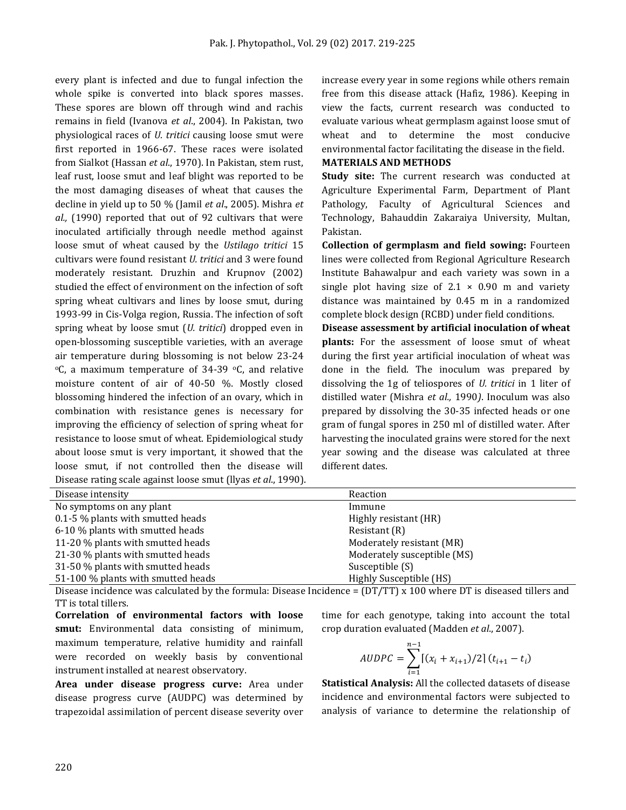every plant is infected and due to fungal infection the whole spike is converted into black spores masses. These spores are blown off through wind and rachis remains in field (Ivanova *et al*., 2004). In Pakistan, two physiological races of *U. tritici* causing loose smut were first reported in 1966-67. These races were isolated from Sialkot (Hassan *et al*., 1970). In Pakistan, stem rust, leaf rust, loose smut and leaf blight was reported to be the most damaging diseases of wheat that causes the decline in yield up to 50 % (Jamil *et al*., 2005). Mishra *et al.,* (1990) reported that out of 92 cultivars that were inoculated artificially through needle method against loose smut of wheat caused by the *Ustilago tritici* 15 cultivars were found resistant *U. tritici* and 3 were found moderately resistant. Druzhin and Krupnov (2002) studied the effect of environment on the infection of soft spring wheat cultivars and lines by loose smut, during 1993-99 in Cis-Volga region, Russia. The infection of soft spring wheat by loose smut (*U. tritici*) dropped even in open-blossoming susceptible varieties, with an average air temperature during blossoming is not below 23-24  $\degree$ C, a maximum temperature of 34-39  $\degree$ C, and relative moisture content of air of 40-50 %. Mostly closed blossoming hindered the infection of an ovary, which in combination with resistance genes is necessary for improving the efficiency of selection of spring wheat for resistance to loose smut of wheat. Epidemiological study about loose smut is very important, it showed that the loose smut, if not controlled then the disease will Disease rating scale against loose smut (llyas *et al*., 1990). increase every year in some regions while others remain free from this disease attack (Hafiz, 1986). Keeping in view the facts, current research was conducted to evaluate various wheat germplasm against loose smut of wheat and to determine the most conducive environmental factor facilitating the disease in the field.

### **MATERIALS AND METHODS**

**Study site:** The current research was conducted at Agriculture Experimental Farm, Department of Plant Pathology, Faculty of Agricultural Sciences and Technology, Bahauddin Zakaraiya University, Multan, Pakistan.

**Collection of germplasm and field sowing:** Fourteen lines were collected from Regional Agriculture Research Institute Bahawalpur and each variety was sown in a single plot having size of  $2.1 \times 0.90$  m and variety distance was maintained by 0.45 m in a randomized complete block design (RCBD) under field conditions.

**Disease assessment by artificial inoculation of wheat plants:** For the assessment of loose smut of wheat during the first year artificial inoculation of wheat was done in the field. The inoculum was prepared by dissolving the 1g of teliospores of *U. tritici* in 1 liter of distilled water (Mishra *et al.,* 1990*)*. Inoculum was also prepared by dissolving the 30-35 infected heads or one gram of fungal spores in 250 ml of distilled water. After harvesting the inoculated grains were stored for the next year sowing and the disease was calculated at three different dates.

| Disease intensity                  | Reaction                    |
|------------------------------------|-----------------------------|
| No symptoms on any plant           | Immune                      |
| 0.1-5 % plants with smutted heads  | Highly resistant (HR)       |
| 6-10 % plants with smutted heads   | Resistant (R)               |
| 11-20 % plants with smutted heads  | Moderately resistant (MR)   |
| 21-30 % plants with smutted heads  | Moderately susceptible (MS) |
| 31-50 % plants with smutted heads  | Susceptible (S)             |
| 51-100 % plants with smutted heads | Highly Susceptible (HS)     |

Disease incidence was calculated by the formula: Disease Incidence =  $(DT/TT) \times 100$  where DT is diseased tillers and TT is total tillers.

**Correlation of environmental factors with loose smut:** Environmental data consisting of minimum, maximum temperature, relative humidity and rainfall were recorded on weekly basis by conventional instrument installed at nearest observatory.

**Area under disease progress curve:** Area under disease progress curve (AUDPC) was determined by trapezoidal assimilation of percent disease severity over

time for each genotype, taking into account the total crop duration evaluated (Madden *et al*., 2007).

$$
AUDPC = \sum_{i=1}^{n-1} [(x_i + x_{i+1})/2] (t_{i+1} - t_i)
$$

**Statistical Analysis:** All the collected datasets of disease incidence and environmental factors were subjected to analysis of variance to determine the relationship of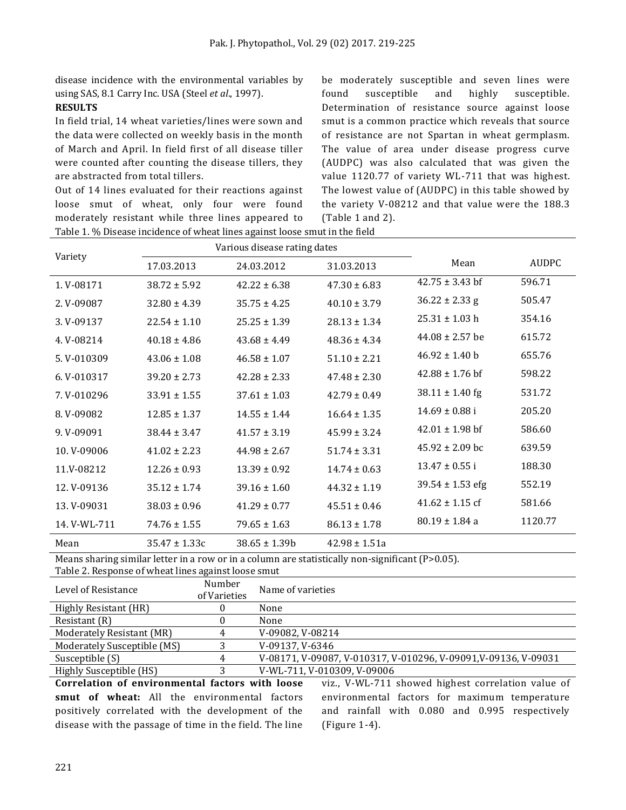disease incidence with the environmental variables by using SAS, 8.1 Carry Inc. USA (Steel *et al*., 1997).

#### **RESULTS**

In field trial, 14 wheat varieties/lines were sown and the data were collected on weekly basis in the month of March and April. In field first of all disease tiller were counted after counting the disease tillers, they are abstracted from total tillers.

Out of 14 lines evaluated for their reactions against loose smut of wheat, only four were found moderately resistant while three lines appeared to Table 1. % Disease incidence of wheat lines against loose smut in the field

be moderately susceptible and seven lines were found susceptible and highly susceptible. Determination of resistance source against loose smut is a common practice which reveals that source of resistance are not Spartan in wheat germplasm. The value of area under disease progress curve (AUDPC) was also calculated that was given the value 1120.77 of variety WL-711 that was highest. The lowest value of (AUDPC) in this table showed by the variety V-08212 and that value were the 188.3 (Table 1 and 2).

| Variety      |                   | Various disease rating dates |                   |                      |         |
|--------------|-------------------|------------------------------|-------------------|----------------------|---------|
|              | 17.03.2013        | 24.03.2012                   | 31.03.2013        | Mean                 | AUDPC   |
| 1.V-08171    | $38.72 \pm 5.92$  | $42.22 \pm 6.38$             | $47.30 \pm 6.83$  | $42.75 \pm 3.43$ bf  | 596.71  |
| 2. V-09087   | $32.80 \pm 4.39$  | $35.75 \pm 4.25$             | $40.10 \pm 3.79$  | $36.22 \pm 2.33$ g   | 505.47  |
| 3. V-09137   | $22.54 \pm 1.10$  | $25.25 \pm 1.39$             | $28.13 \pm 1.34$  | $25.31 \pm 1.03$ h   | 354.16  |
| 4.V-08214    | $40.18 \pm 4.86$  | $43.68 \pm 4.49$             | $48.36 \pm 4.34$  | $44.08 \pm 2.57$ be  | 615.72  |
| 5. V-010309  | $43.06 \pm 1.08$  | $46.58 \pm 1.07$             | $51.10 \pm 2.21$  | $46.92 \pm 1.40$ b   | 655.76  |
| 6. V-010317  | $39.20 \pm 2.73$  | $42.28 \pm 2.33$             | $47.48 \pm 2.30$  | $42.88 \pm 1.76$ bf  | 598.22  |
| 7. V-010296  | $33.91 \pm 1.55$  | $37.61 \pm 1.03$             | $42.79 \pm 0.49$  | $38.11 \pm 1.40$ fg  | 531.72  |
| 8. V-09082   | $12.85 \pm 1.37$  | $14.55 \pm 1.44$             | $16.64 \pm 1.35$  | $14.69 \pm 0.88$ i   | 205.20  |
| 9. V-09091   | $38.44 \pm 3.47$  | $41.57 \pm 3.19$             | $45.99 \pm 3.24$  | $42.01 \pm 1.98$ bf  | 586.60  |
| 10. V-09006  | $41.02 \pm 2.23$  | $44.98 \pm 2.67$             | $51.74 \pm 3.31$  | $45.92 \pm 2.09$ bc  | 639.59  |
| 11.V-08212   | $12.26 \pm 0.93$  | $13.39 \pm 0.92$             | $14.74 \pm 0.63$  | $13.47 \pm 0.55$ i   | 188.30  |
| 12. V-09136  | $35.12 \pm 1.74$  | $39.16 \pm 1.60$             | $44.32 \pm 1.19$  | $39.54 \pm 1.53$ efg | 552.19  |
| 13. V-09031  | $38.03 \pm 0.96$  | $41.29 \pm 0.77$             | $45.51 \pm 0.46$  | $41.62 \pm 1.15$ cf  | 581.66  |
| 14. V-WL-711 | $74.76 \pm 1.55$  | $79.65 \pm 1.63$             | $86.13 \pm 1.78$  | $80.19 \pm 1.84$ a   | 1120.77 |
| Mean         | $35.47 \pm 1.33c$ | $38.65 \pm 1.39b$            | $42.98 \pm 1.51a$ |                      |         |

Means sharing similar letter in a row or in a column are statistically non-significant (P>0.05). Table 2. Response of wheat lines against loose smut

| Table 2. Response of Wheat thres against foose sinut |                        |                                                                |  |  |  |
|------------------------------------------------------|------------------------|----------------------------------------------------------------|--|--|--|
| Level of Resistance                                  | Number<br>of Varieties | Name of varieties                                              |  |  |  |
| Highly Resistant (HR)                                |                        | None                                                           |  |  |  |
| Resistant (R)                                        |                        | None                                                           |  |  |  |
| Moderately Resistant (MR)                            | 4                      | V-09082, V-08214                                               |  |  |  |
| Moderately Susceptible (MS)                          |                        | V-09137, V-6346                                                |  |  |  |
| Susceptible (S)                                      | 4                      | V-08171, V-09087, V-010317, V-010296, V-09091,V-09136, V-09031 |  |  |  |
| Highly Susceptible (HS)                              |                        | V-WL-711, V-010309, V-09006                                    |  |  |  |
|                                                      |                        | .                                                              |  |  |  |

**Correlation of environmental factors with loose smut of wheat:** All the environmental factors positively correlated with the development of the disease with the passage of time in the field. The line viz., V-WL-711 showed highest correlation value of environmental factors for maximum temperature and rainfall with 0.080 and 0.995 respectively (Figure 1-4).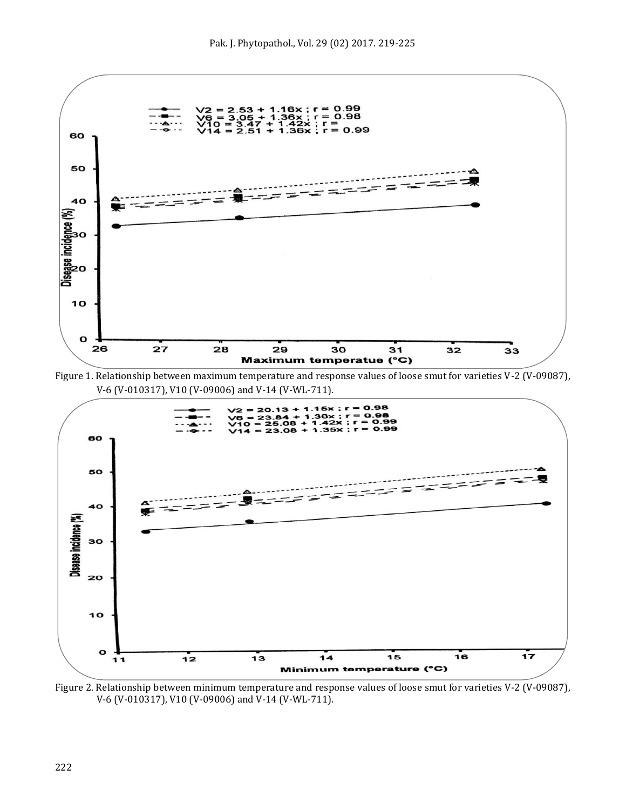

Figure 1. Relationship between maximum temperature and response values of loose smut for varieties V-2 (V-09087), V-6 (V-010317), V10 (V-09006) and V-14 (V-WL-711).



Figure 2. Relationship between minimum temperature and response values of loose smut for varieties V-2 (V-09087), V-6 (V-010317), V10 (V-09006) and V-14 (V-WL-711).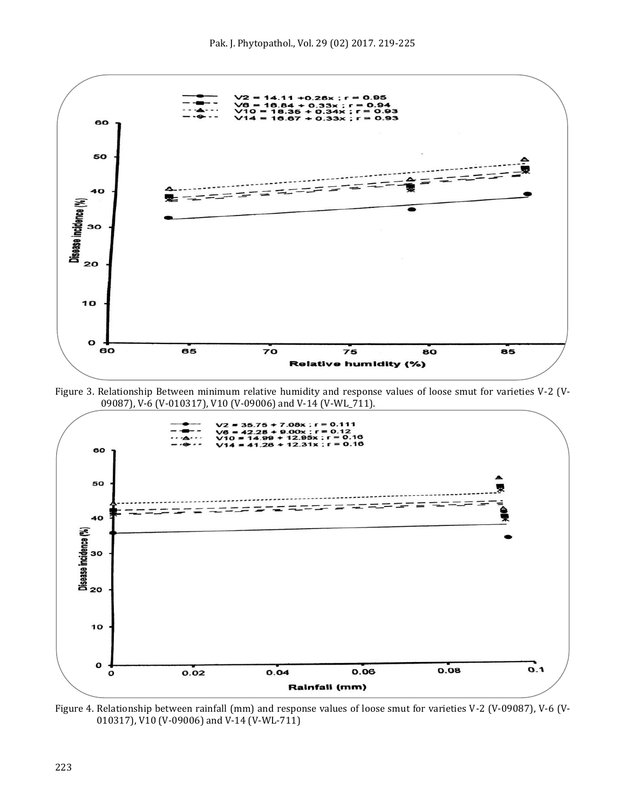

Figure 3. Relationship Between minimum relative humidity and response values of loose smut for varieties V-2 (V-09087), V-6 (V-010317), V10 (V-09006) and V-14 (V-WL\_711).



Figure 4. Relationship between rainfall (mm) and response values of loose smut for varieties V-2 (V-09087), V-6 (V-010317), V10 (V-09006) and V-14 (V-WL-711)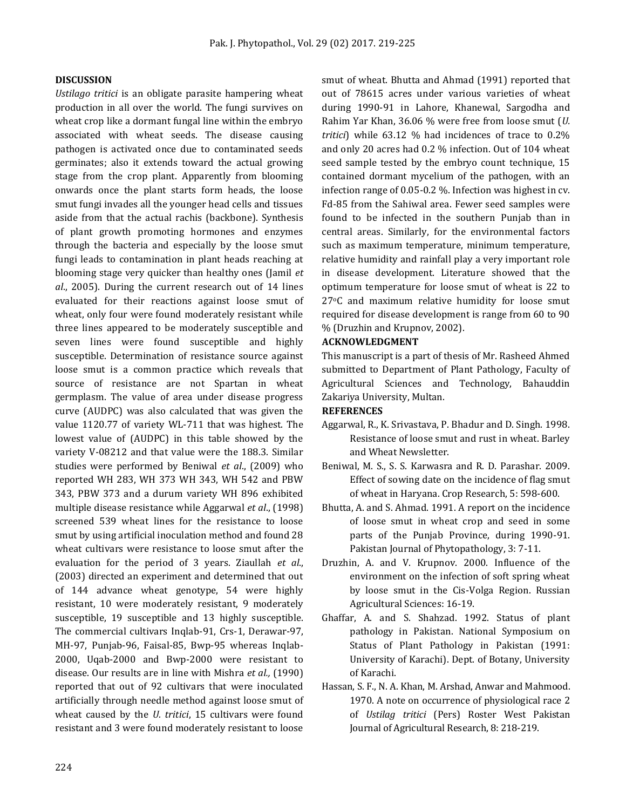#### **DISCUSSION**

*Ustilago tritici* is an obligate parasite hampering wheat production in all over the world. The fungi survives on wheat crop like a dormant fungal line within the embryo associated with wheat seeds. The disease causing pathogen is activated once due to contaminated seeds germinates; also it extends toward the actual growing stage from the crop plant. Apparently from blooming onwards once the plant starts form heads, the loose smut fungi invades all the younger head cells and tissues aside from that the actual rachis (backbone). Synthesis of plant growth promoting hormones and enzymes through the bacteria and especially by the loose smut fungi leads to contamination in plant heads reaching at blooming stage very quicker than healthy ones (Jamil *et al*., 2005). During the current research out of 14 lines evaluated for their reactions against loose smut of wheat, only four were found moderately resistant while three lines appeared to be moderately susceptible and seven lines were found susceptible and highly susceptible. Determination of resistance source against loose smut is a common practice which reveals that source of resistance are not Spartan in wheat germplasm. The value of area under disease progress curve (AUDPC) was also calculated that was given the value 1120.77 of variety WL-711 that was highest. The lowest value of (AUDPC) in this table showed by the variety V-08212 and that value were the 188.3. Similar studies were performed by Beniwal *et al*., (2009) who reported WH 283, WH 373 WH 343, WH 542 and PBW 343, PBW 373 and a durum variety WH 896 exhibited multiple disease resistance while Aggarwal *et al*., (1998) screened 539 wheat lines for the resistance to loose smut by using artificial inoculation method and found 28 wheat cultivars were resistance to loose smut after the evaluation for the period of 3 years. Ziaullah *et al*., (2003) directed an experiment and determined that out of 144 advance wheat genotype, 54 were highly resistant, 10 were moderately resistant, 9 moderately susceptible, 19 susceptible and 13 highly susceptible. The commercial cultivars Inqlab-91, Crs-1, Derawar-97, MH-97, Punjab-96, Faisal-85, Bwp-95 whereas Inqlab-2000, Uqab-2000 and Bwp-2000 were resistant to disease. Our results are in line with Mishra *et al.,* (1990) reported that out of 92 cultivars that were inoculated artificially through needle method against loose smut of wheat caused by the *U. tritici*, 15 cultivars were found resistant and 3 were found moderately resistant to loose

smut of wheat. Bhutta and Ahmad (1991) reported that out of 78615 acres under various varieties of wheat during 1990-91 in Lahore, Khanewal, Sargodha and Rahim Yar Khan, 36.06 % were free from loose smut (*U. tritici*) while 63.12 % had incidences of trace to 0.2% and only 20 acres had 0.2 % infection. Out of 104 wheat seed sample tested by the embryo count technique, 15 contained dormant mycelium of the pathogen, with an infection range of 0.05-0.2 %. Infection was highest in cv. Fd-85 from the Sahiwal area. Fewer seed samples were found to be infected in the southern Punjab than in central areas. Similarly, for the environmental factors such as maximum temperature, minimum temperature, relative humidity and rainfall play a very important role in disease development. Literature showed that the optimum temperature for loose smut of wheat is 22 to 27°C and maximum relative humidity for loose smut required for disease development is range from 60 to 90 % (Druzhin and Krupnov, 2002).

#### **ACKNOWLEDGMENT**

This manuscript is a part of thesis of Mr. Rasheed Ahmed submitted to Department of Plant Pathology, Faculty of Agricultural Sciences and Technology, Bahauddin Zakariya University, Multan.

#### **REFERENCES**

- Aggarwal, R., K. Srivastava, P. Bhadur and D. Singh. 1998. Resistance of loose smut and rust in wheat. Barley and Wheat Newsletter.
- Beniwal, M. S., S. S. Karwasra and R. D. Parashar. 2009. Effect of sowing date on the incidence of flag smut of wheat in Haryana. Crop Research, 5: 598-600.
- Bhutta, A. and S. Ahmad. 1991. A report on the incidence of loose smut in wheat crop and seed in some parts of the Punjab Province, during 1990-91. Pakistan Journal of Phytopathology, 3: 7-11.
- Druzhin, A. and V. Krupnov. 2000. Influence of the environment on the infection of soft spring wheat by loose smut in the Cis-Volga Region. Russian Agricultural Sciences: 16-19.
- Ghaffar, A. and S. Shahzad. 1992. Status of plant pathology in Pakistan. National Symposium on Status of Plant Pathology in Pakistan (1991: University of Karachi). Dept. of Botany, University of Karachi.
- Hassan, S. F., N. A. Khan, M. Arshad, Anwar and Mahmood. 1970. A note on occurrence of physiological race 2 of *Ustilag tritici* (Pers) Roster West Pakistan Journal of Agricultural Research, 8: 218-219.